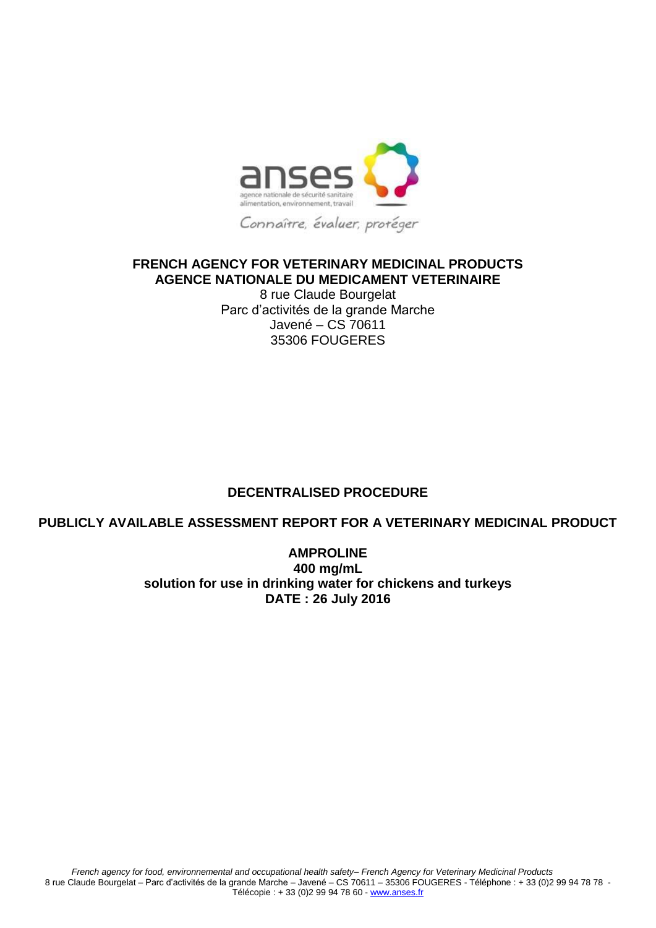

## **FRENCH AGENCY FOR VETERINARY MEDICINAL PRODUCTS AGENCE NATIONALE DU MEDICAMENT VETERINAIRE**

8 rue Claude Bourgelat Parc d'activités de la grande Marche Javené – CS 70611 35306 FOUGERES

## **DECENTRALISED PROCEDURE**

## **PUBLICLY AVAILABLE ASSESSMENT REPORT FOR A VETERINARY MEDICINAL PRODUCT**

**AMPROLINE 400 mg/mL solution for use in drinking water for chickens and turkeys DATE : 26 July 2016**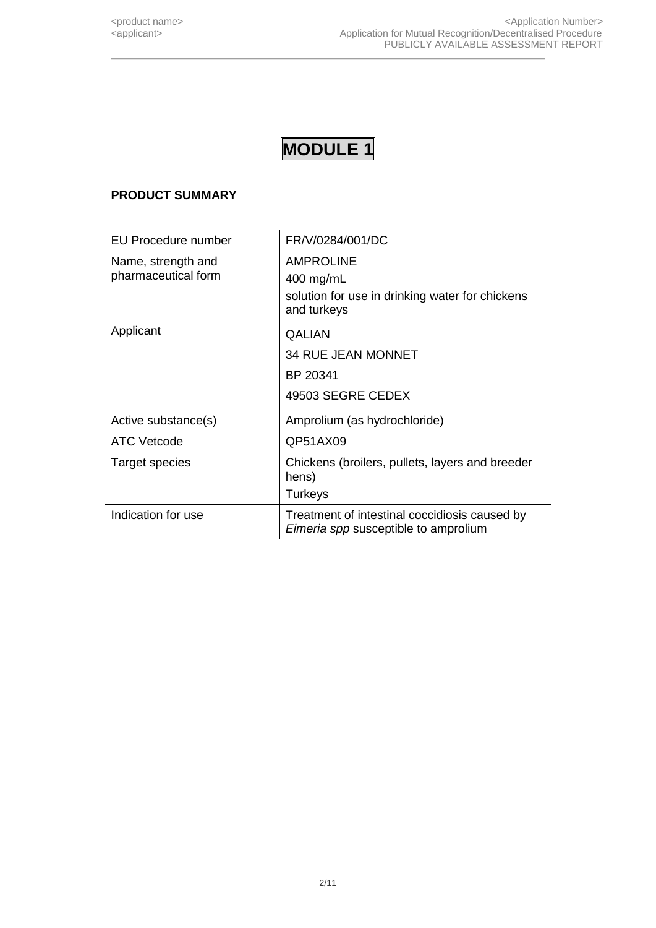## **PRODUCT SUMMARY**

| EU Procedure number                       | FR/V/0284/001/DC                                                                                |
|-------------------------------------------|-------------------------------------------------------------------------------------------------|
| Name, strength and<br>pharmaceutical form | <b>AMPROLINE</b><br>400 mg/mL<br>solution for use in drinking water for chickens<br>and turkeys |
| Applicant                                 | <b>QALIAN</b><br><b>34 RUE JEAN MONNET</b><br>BP 20341<br>49503 SEGRE CEDEX                     |
| Active substance(s)                       | Amprolium (as hydrochloride)                                                                    |
| <b>ATC Vetcode</b>                        | QP51AX09                                                                                        |
| Target species                            | Chickens (broilers, pullets, layers and breeder<br>hens)<br><b>Turkeys</b>                      |
| Indication for use                        | Treatment of intestinal coccidiosis caused by<br>Eimeria spp susceptible to amprolium           |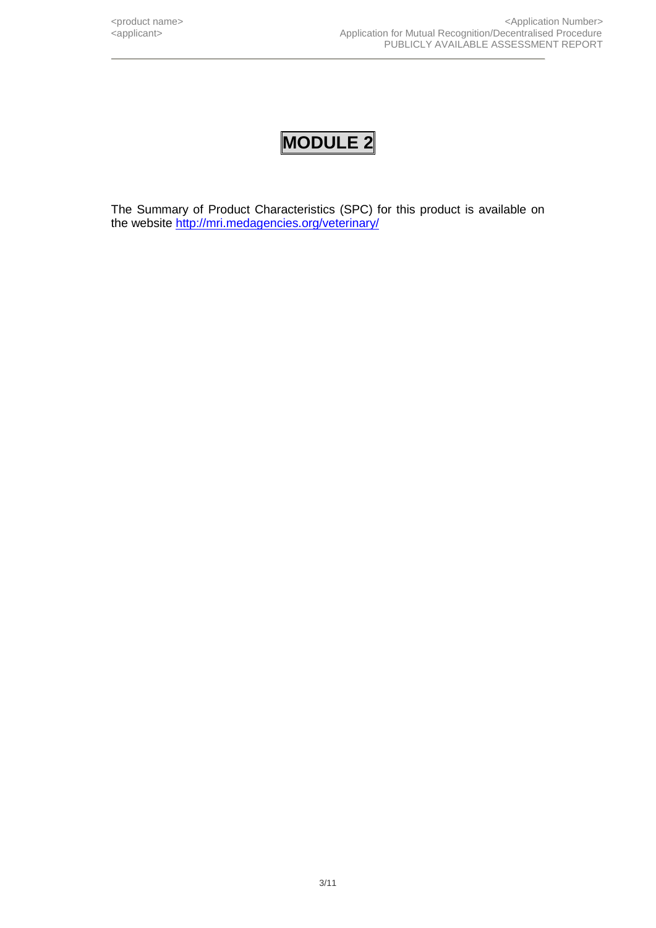The Summary of Product Characteristics (SPC) for this product is available on the website <http://mri.medagencies.org/veterinary/>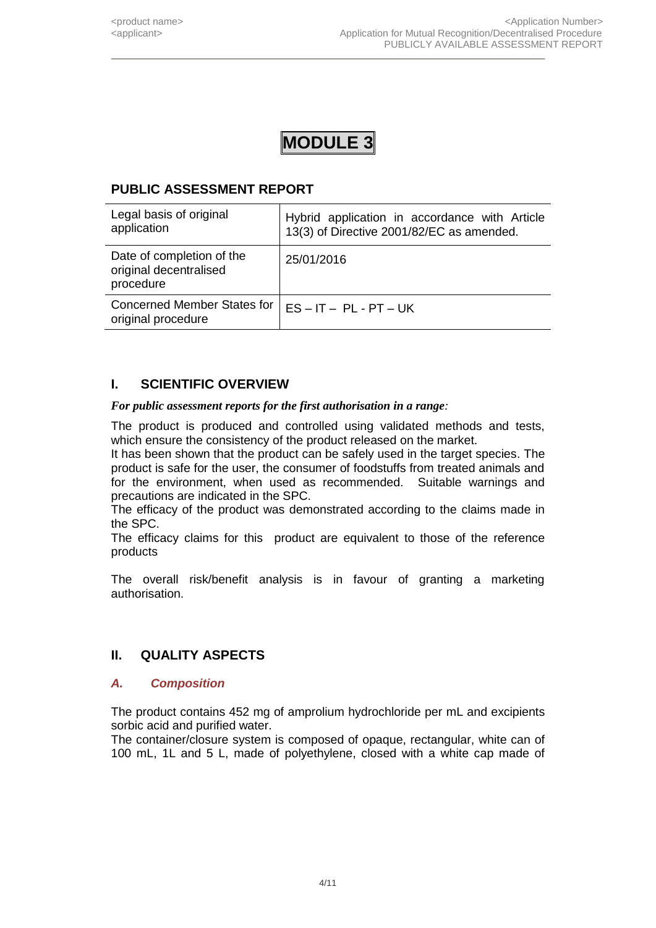## **PUBLIC ASSESSMENT REPORT**

| Legal basis of original<br>application                           | Hybrid application in accordance with Article<br>13(3) of Directive 2001/82/EC as amended. |
|------------------------------------------------------------------|--------------------------------------------------------------------------------------------|
| Date of completion of the<br>original decentralised<br>procedure | 25/01/2016                                                                                 |
| <b>Concerned Member States for</b><br>original procedure         | $ES - IT - PL - PT - UK$                                                                   |

## **I. SCIENTIFIC OVERVIEW**

*For public assessment reports for the first authorisation in a range:* 

The product is produced and controlled using validated methods and tests, which ensure the consistency of the product released on the market.

It has been shown that the product can be safely used in the target species. The product is safe for the user, the consumer of foodstuffs from treated animals and for the environment, when used as recommended. Suitable warnings and precautions are indicated in the SPC.

The efficacy of the product was demonstrated according to the claims made in the SPC.

The efficacy claims for this product are equivalent to those of the reference products

The overall risk/benefit analysis is in favour of granting a marketing authorisation.

## **II. QUALITY ASPECTS**

## *A. Composition*

The product contains 452 mg of amprolium hydrochloride per mL and excipients sorbic acid and purified water.

The container/closure system is composed of opaque, rectangular, white can of 100 mL, 1L and 5 L, made of polyethylene, closed with a white cap made of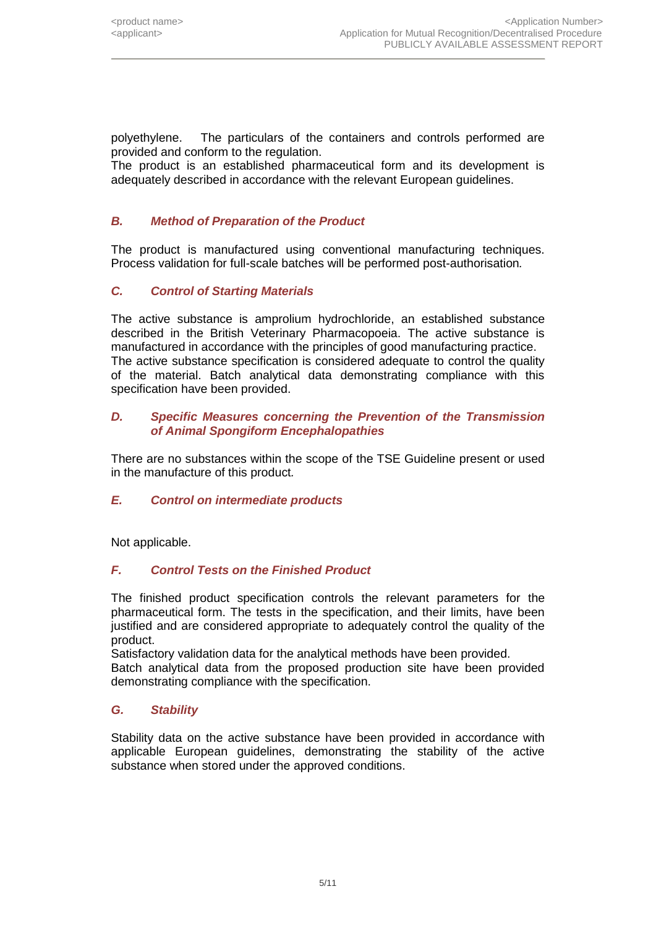polyethylene. The particulars of the containers and controls performed are provided and conform to the regulation.

The product is an established pharmaceutical form and its development is adequately described in accordance with the relevant European guidelines.

## *B. Method of Preparation of the Product*

The product is manufactured using conventional manufacturing techniques. Process validation for full-scale batches will be performed post-authorisation*.*

#### *C. Control of Starting Materials*

The active substance is amprolium hydrochloride, an established substance described in the British Veterinary Pharmacopoeia. The active substance is manufactured in accordance with the principles of good manufacturing practice. The active substance specification is considered adequate to control the quality of the material. Batch analytical data demonstrating compliance with this specification have been provided.

#### *D. Specific Measures concerning the Prevention of the Transmission of Animal Spongiform Encephalopathies*

There are no substances within the scope of the TSE Guideline present or used in the manufacture of this product*.*

#### *E. Control on intermediate products*

Not applicable.

#### *F. Control Tests on the Finished Product*

The finished product specification controls the relevant parameters for the pharmaceutical form. The tests in the specification, and their limits, have been justified and are considered appropriate to adequately control the quality of the product.

Satisfactory validation data for the analytical methods have been provided.

Batch analytical data from the proposed production site have been provided demonstrating compliance with the specification.

#### *G. Stability*

Stability data on the active substance have been provided in accordance with applicable European guidelines, demonstrating the stability of the active substance when stored under the approved conditions.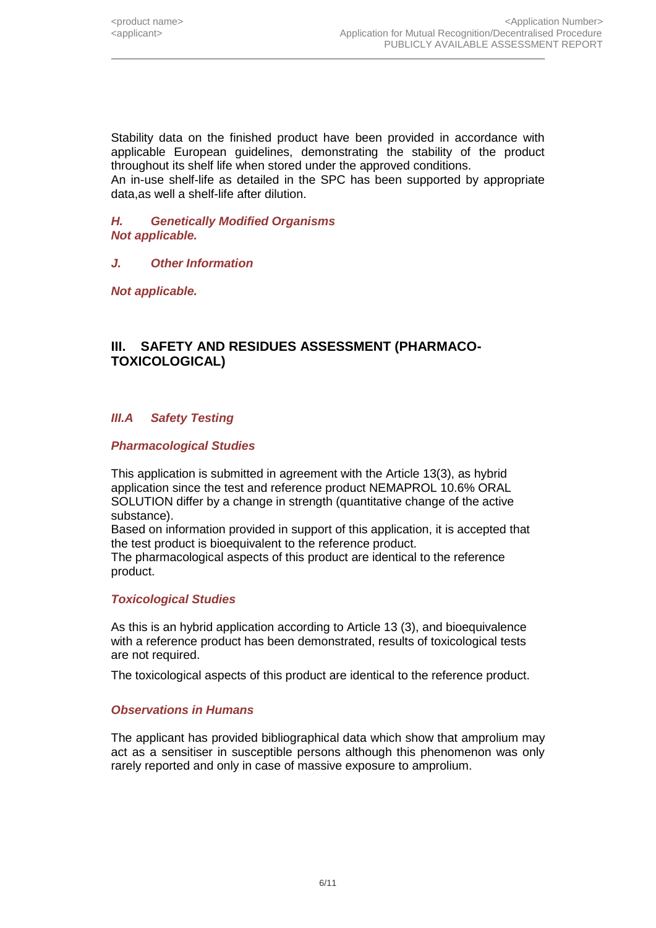Stability data on the finished product have been provided in accordance with applicable European guidelines, demonstrating the stability of the product throughout its shelf life when stored under the approved conditions. An in-use shelf-life as detailed in the SPC has been supported by appropriate data,as well a shelf-life after dilution.

#### *H. Genetically Modified Organisms Not applicable.*

## *J. Other Information*

*Not applicable.*

## **III. SAFETY AND RESIDUES ASSESSMENT (PHARMACO-TOXICOLOGICAL)**

## *III.A Safety Testing*

#### *Pharmacological Studies*

This application is submitted in agreement with the Article 13(3), as hybrid application since the test and reference product NEMAPROL 10.6% ORAL SOLUTION differ by a change in strength (quantitative change of the active substance).

Based on information provided in support of this application, it is accepted that the test product is bioequivalent to the reference product.

The pharmacological aspects of this product are identical to the reference product.

#### *Toxicological Studies*

As this is an hybrid application according to Article 13 (3), and bioequivalence with a reference product has been demonstrated, results of toxicological tests are not required.

The toxicological aspects of this product are identical to the reference product.

#### *Observations in Humans*

The applicant has provided bibliographical data which show that amprolium may act as a sensitiser in susceptible persons although this phenomenon was only rarely reported and only in case of massive exposure to amprolium.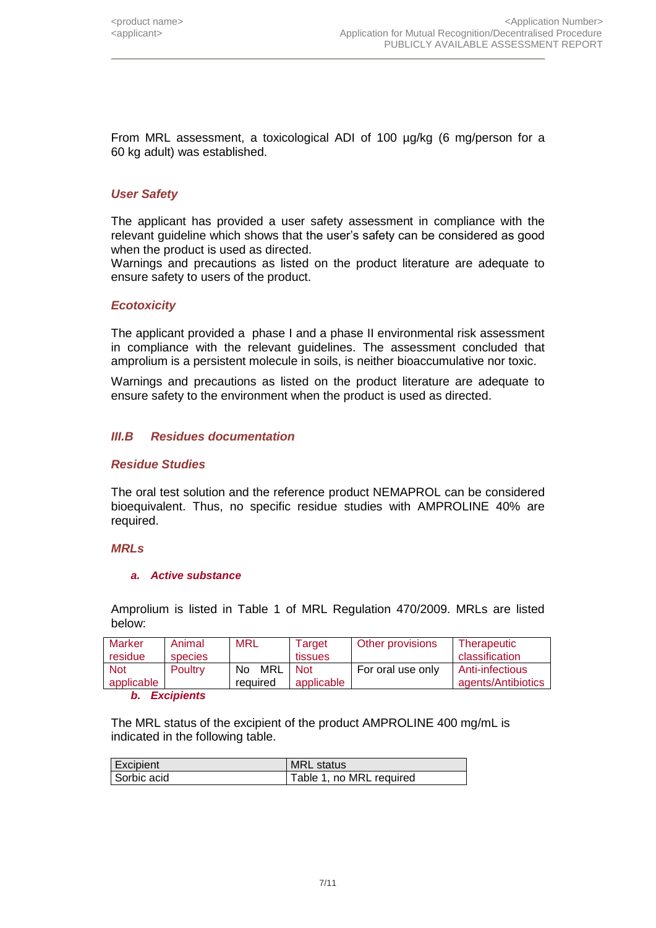From MRL assessment, a toxicological ADI of 100 µg/kg (6 mg/person for a 60 kg adult) was established.

#### *User Safety*

The applicant has provided a user safety assessment in compliance with the relevant guideline which shows that the user's safety can be considered as good when the product is used as directed.

Warnings and precautions as listed on the product literature are adequate to ensure safety to users of the product.

#### *Ecotoxicity*

The applicant provided a phase I and a phase II environmental risk assessment in compliance with the relevant guidelines. The assessment concluded that amprolium is a persistent molecule in soils, is neither bioaccumulative nor toxic.

Warnings and precautions as listed on the product literature are adequate to ensure safety to the environment when the product is used as directed.

#### *III.B Residues documentation*

#### *Residue Studies*

The oral test solution and the reference product NEMAPROL can be considered bioequivalent. Thus, no specific residue studies with AMPROLINE 40% are required.

#### *MRLs*

#### *a. Active substance*

Amprolium is listed in Table 1 of MRL Regulation 470/2009. MRLs are listed below:

| <b>Marker</b><br>residue | Animal<br>species | <b>MRL</b> | Target<br>tissues | Other provisions  | Therapeutic<br>classification |
|--------------------------|-------------------|------------|-------------------|-------------------|-------------------------------|
| <b>Not</b>               | <b>Poultry</b>    | MRL<br>No. | <b>Not</b>        | For oral use only | Anti-infectious               |
| applicable               |                   | required   | applicable        |                   | agents/Antibiotics            |
|                          | <b>Excipients</b> |            |                   |                   |                               |

The MRL status of the excipient of the product AMPROLINE 400 mg/mL is indicated in the following table.

| Excipient   | <b>MRL</b> status        |
|-------------|--------------------------|
| Sorbic acid | Table 1, no MRL required |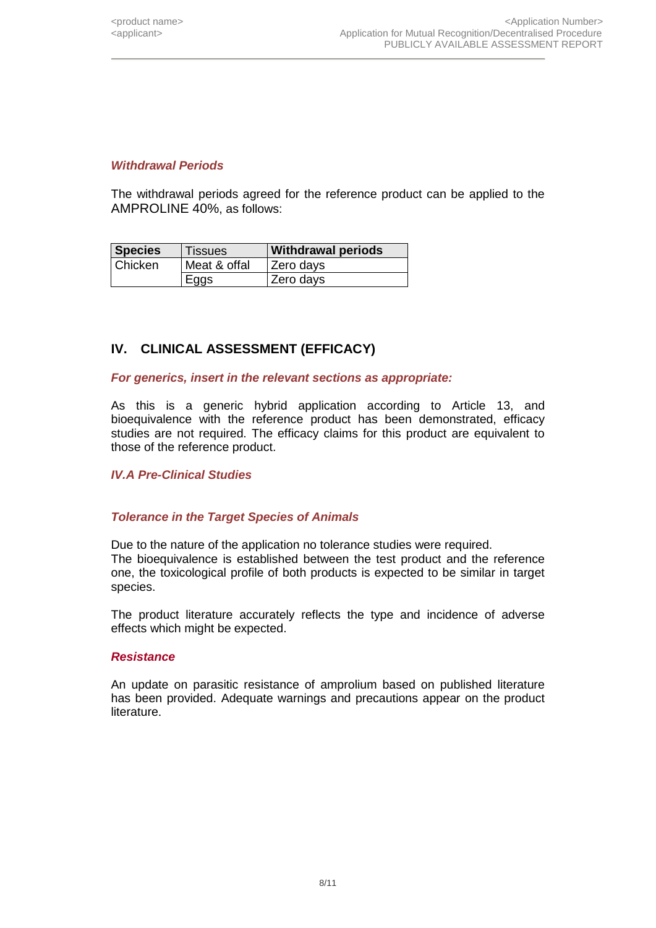## *Withdrawal Periods*

The withdrawal periods agreed for the reference product can be applied to the AMPROLINE 40%, as follows:

| <b>Species</b> | <b>Tissues</b> | <b>Withdrawal periods</b> |
|----------------|----------------|---------------------------|
| <b>Chicken</b> | Meat & offal   | Zero days                 |
|                | Eggs           | Zero days                 |

## **IV. CLINICAL ASSESSMENT (EFFICACY)**

#### *For generics, insert in the relevant sections as appropriate:*

As this is a generic hybrid application according to Article 13, and bioequivalence with the reference product has been demonstrated, efficacy studies are not required. The efficacy claims for this product are equivalent to those of the reference product.

#### *IV.A Pre-Clinical Studies*

#### *Tolerance in the Target Species of Animals*

Due to the nature of the application no tolerance studies were required. The bioequivalence is established between the test product and the reference one, the toxicological profile of both products is expected to be similar in target species.

The product literature accurately reflects the type and incidence of adverse effects which might be expected.

#### *Resistance*

An update on parasitic resistance of amprolium based on published literature has been provided. Adequate warnings and precautions appear on the product literature.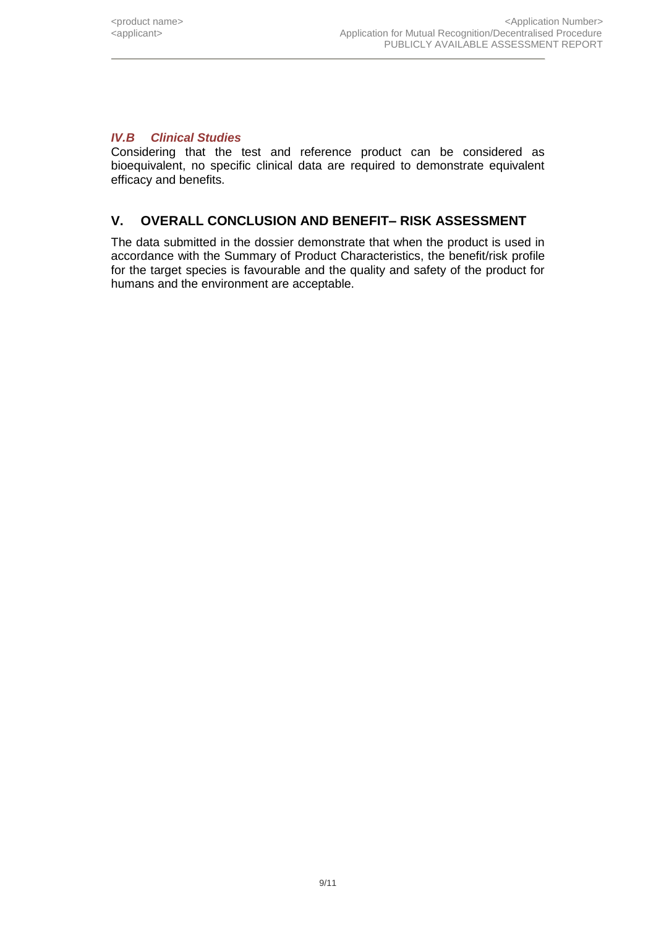## *IV.B Clinical Studies*

Considering that the test and reference product can be considered as bioequivalent, no specific clinical data are required to demonstrate equivalent efficacy and benefits.

## **V. OVERALL CONCLUSION AND BENEFIT– RISK ASSESSMENT**

The data submitted in the dossier demonstrate that when the product is used in accordance with the Summary of Product Characteristics, the benefit/risk profile for the target species is favourable and the quality and safety of the product for humans and the environment are acceptable.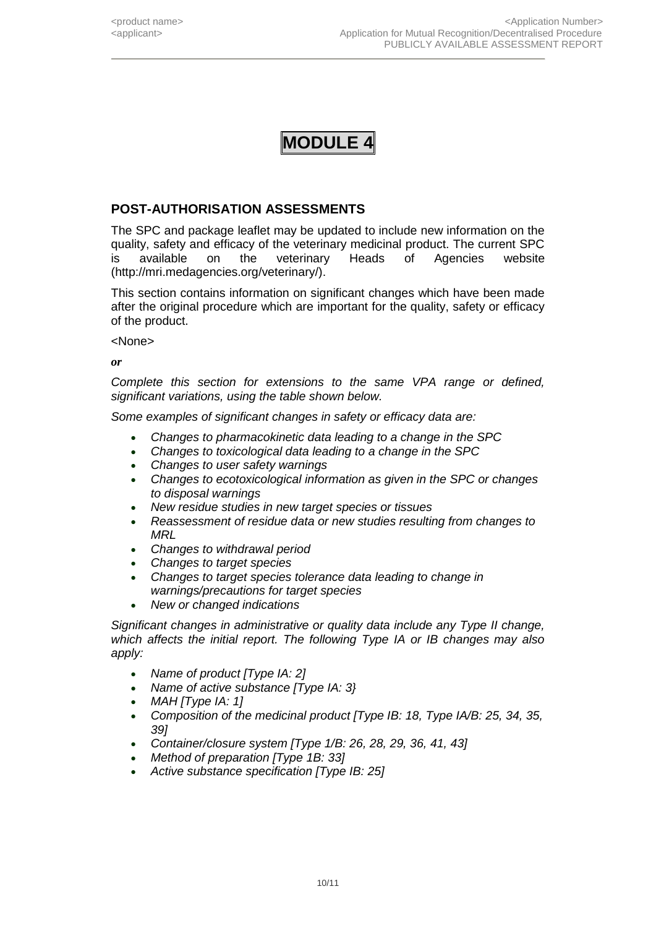## **POST-AUTHORISATION ASSESSMENTS**

The SPC and package leaflet may be updated to include new information on the quality, safety and efficacy of the veterinary medicinal product. The current SPC is available on the veterinary Heads of Agencies website (http://mri.medagencies.org/veterinary/).

This section contains information on significant changes which have been made after the original procedure which are important for the quality, safety or efficacy of the product.

<None>

*or*

*Complete this section for extensions to the same VPA range or defined, significant variations, using the table shown below.* 

*Some examples of significant changes in safety or efficacy data are:*

- *Changes to pharmacokinetic data leading to a change in the SPC*
- *Changes to toxicological data leading to a change in the SPC*
- *Changes to user safety warnings*
- *Changes to ecotoxicological information as given in the SPC or changes to disposal warnings*
- *New residue studies in new target species or tissues*
- *Reassessment of residue data or new studies resulting from changes to MRL*
- *Changes to withdrawal period*
- *Changes to target species*
- *Changes to target species tolerance data leading to change in warnings/precautions for target species*
- *New or changed indications*

*Significant changes in administrative or quality data include any Type II change, which affects the initial report. The following Type IA or IB changes may also apply:*

- *Name of product [Type IA: 2]*
- *Name of active substance [Type IA: 3}*
- *MAH [Type IA: 1]*
- *Composition of the medicinal product [Type IB: 18, Type IA/B: 25, 34, 35, 39]*
- *Container/closure system [Type 1/B: 26, 28, 29, 36, 41, 43]*
- *Method of preparation [Type 1B: 33]*
- *Active substance specification [Type IB: 25]*